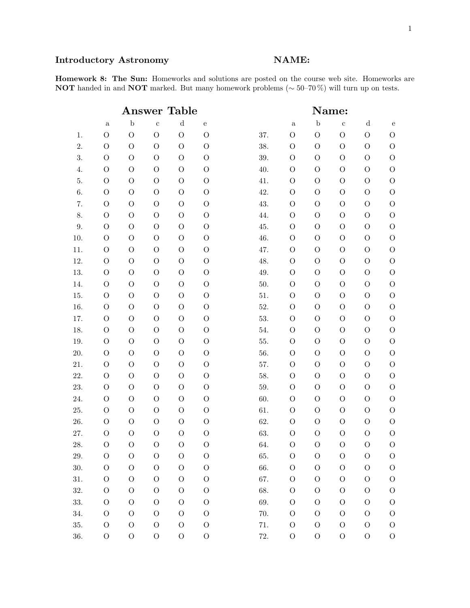# Introductory Astronomy NAME:

Homework 8: The Sun: Homeworks and solutions are posted on the course web site. Homeworks are NOT handed in and NOT marked. But many homework problems (∼ 50–70%) will turn up on tests.

|         | <b>Table</b><br>$\operatorname{Answer}$ |                |                |                |                |  | Name:    |                |                |                |                |                |
|---------|-----------------------------------------|----------------|----------------|----------------|----------------|--|----------|----------------|----------------|----------------|----------------|----------------|
|         | $\mathbf{a}$                            | $\mathbf b$    | $\mathbf c$    | ${\rm d}$      | ${\rm e}$      |  |          | $\rm{a}$       | $\mathbf b$    | $\mathbf{c}$   | $\mathbf d$    | $\mathbf{e}$   |
| 1.      | $\mathcal{O}$                           | $\mathcal{O}$  | $\overline{O}$ | $\overline{O}$ | $\overline{O}$ |  | 37.      | $\mathcal{O}$  | $\mathcal{O}$  | $\mathcal{O}$  | $\overline{O}$ | $\mathcal{O}$  |
| 2.      | $\mathcal{O}$                           | $\overline{O}$ | $\mathcal{O}$  | $\overline{O}$ | $\mathcal{O}$  |  | 38.      | $\mathcal{O}$  | $\mathcal{O}$  | $\overline{O}$ | $\overline{O}$ | $\mathcal{O}$  |
| 3.      | $\mathcal{O}$                           | $\mathcal{O}$  | $\mathcal{O}$  | $\overline{O}$ | $\rm{O}$       |  | 39.      | $\mathcal{O}$  | $\mathcal{O}$  | $\mathcal{O}$  | $\overline{O}$ | $\mathcal{O}$  |
| 4.      | $\overline{O}$                          | $\mathcal{O}$  | $\mathcal{O}$  | $\overline{O}$ | $\rm{O}$       |  | 40.      | $\mathcal{O}$  | $\mathcal{O}$  | $\mathcal{O}$  | $\overline{O}$ | $\mathcal{O}$  |
| 5.      | $\mathcal O$                            | $\mathcal{O}$  | $\mathcal{O}$  | $\overline{O}$ | $\rm{O}$       |  | 41.      | $\mathcal{O}$  | $\mathcal{O}$  | $\mathcal{O}$  | $\overline{O}$ | $\mathcal{O}$  |
| 6.      | $\overline{O}$                          | $\overline{O}$ | $\mathcal{O}$  | $\overline{O}$ | $\rm{O}$       |  | 42.      | $\mathcal{O}$  | $\mathcal{O}$  | $\mathcal{O}$  | $\overline{O}$ | $\mathcal{O}$  |
| 7.      | $\mathcal{O}$                           | $\mathcal{O}$  | $\mathcal{O}$  | $\overline{O}$ | $\rm{O}$       |  | 43.      | $\mathcal{O}$  | $\mathcal{O}$  | $\mathcal{O}$  | $\overline{O}$ | $\mathcal{O}$  |
| 8.      | $\mathcal{O}$                           | $\mathcal{O}$  | $\mathcal{O}$  | $\mathcal{O}$  | O              |  | 44.      | $\mathcal{O}$  | $\mathcal{O}$  | $\mathcal{O}$  | $\overline{O}$ | $\mathcal{O}$  |
| $9. \,$ | $\mathcal{O}$                           | $\mathcal{O}$  | $\mathcal{O}$  | $\mathcal{O}$  | $\Omega$       |  | 45.      | $\mathcal{O}$  | $\mathcal{O}$  | $\overline{O}$ | $\overline{O}$ | $\overline{O}$ |
| 10.     | $\overline{O}$                          | $\mathcal{O}$  | $\mathcal{O}$  | $\mathcal{O}$  | $\mathcal{O}$  |  | 46.      | $\mathcal{O}$  | $\mathcal{O}$  | $\overline{O}$ | $\mathcal{O}$  | $\mathcal{O}$  |
| 11.     | $\overline{O}$                          | $\mathcal{O}$  | $\mathcal{O}$  | $\mathcal{O}$  | $\overline{O}$ |  | 47.      | $\mathcal{O}$  | $\mathcal{O}$  | $\mathcal{O}$  | $\overline{O}$ | $\mathcal{O}$  |
| 12.     | $\overline{O}$                          | $\mathcal{O}$  | $\mathcal{O}$  | $\mathcal{O}$  | $\mathcal{O}$  |  | 48.      | $\mathcal{O}$  | $\mathcal{O}$  | $\mathcal{O}$  | $\overline{O}$ | $\mathcal{O}$  |
| 13.     | $\overline{O}$                          | $\mathcal{O}$  | $\mathcal{O}$  | $\mathcal{O}$  | $\Omega$       |  | 49.      | $\mathcal{O}$  | $\mathcal{O}$  | $\overline{O}$ | $\overline{O}$ | $\overline{O}$ |
| 14.     | $\mathcal{O}$                           | $\mathcal{O}$  | $\mathcal{O}$  | $\mathcal{O}$  | $\mathcal{O}$  |  | 50.      | $\mathcal{O}$  | $\mathcal{O}$  | $\overline{O}$ | $\mathcal{O}$  | $\mathcal{O}$  |
| 15.     | $\mathcal{O}$                           | $\mathcal{O}$  | $\mathcal{O}$  | $\mathcal{O}$  | $\rm{O}$       |  | 51.      | $\mathcal{O}$  | $\mathcal{O}$  | $\mathcal{O}$  | $\overline{O}$ | $\mathcal{O}$  |
| 16.     | $\overline{O}$                          | $\mathcal{O}$  | $\mathcal{O}$  | $\mathcal{O}$  | O              |  | $52. \,$ | $\mathcal{O}$  | $\mathcal{O}$  | $\mathcal{O}$  | $\mathcal{O}$  | $\mathcal{O}$  |
| 17.     | $\mathcal{O}$                           | $\mathcal{O}$  | $\mathcal{O}$  | $\overline{O}$ | $\rm{O}$       |  | 53.      | $\mathcal{O}$  | $\mathcal{O}$  | $\mathcal{O}$  | $\overline{O}$ | $\mathcal{O}$  |
| 18.     | $\rm{O}$                                | $\mathcal{O}$  | $\mathcal{O}$  | $\mathcal{O}$  | $\rm{O}$       |  | 54.      | $\mathcal{O}$  | $\overline{O}$ | $\overline{O}$ | $\mathcal{O}$  | $\mathcal{O}$  |
| 19.     | $\mathcal{O}$                           | $\mathcal{O}$  | $\mathcal{O}$  | $\overline{O}$ | $\rm{O}$       |  | 55.      | $\mathcal{O}$  | $\mathcal{O}$  | $\mathcal{O}$  | $\overline{O}$ | $\mathcal{O}$  |
| 20.     | $\overline{O}$                          | $\mathcal{O}$  | $\mathcal{O}$  | $\mathcal{O}$  | $\rm{O}$       |  | 56.      | $\mathcal{O}$  | $\mathcal{O}$  | $\mathcal{O}$  | $\mathcal{O}$  | $\mathcal{O}$  |
| 21.     | $\mathcal{O}$                           | $\mathcal{O}$  | $\mathcal{O}$  | $\overline{O}$ | $\rm{O}$       |  | 57.      | $\mathcal{O}$  | $\mathcal{O}$  | $\mathcal{O}$  | $\overline{O}$ | $\mathcal{O}$  |
| 22.     | $\rm{O}$                                | $\mathcal{O}$  | $\mathcal{O}$  | $\mathcal{O}$  | $\rm{O}$       |  | 58.      | $\mathcal{O}$  | $\overline{O}$ | $\overline{O}$ | $\mathcal{O}$  | $\mathcal{O}$  |
| 23.     | $\rm{O}$                                | $\mathcal{O}$  | $\mathcal{O}$  | $\mathcal{O}$  | $\overline{O}$ |  | 59.      | $\overline{O}$ | $\mathcal{O}$  | $\overline{O}$ | $\overline{O}$ | $\mathcal{O}$  |
| 24.     | $\mathcal{O}$                           | $\mathcal{O}$  | $\mathcal{O}$  | $\mathcal{O}$  | $\mathcal{O}$  |  | 60.      | $\overline{O}$ | $\mathcal{O}$  | $\mathcal{O}$  | $\mathcal{O}$  | $\mathcal{O}$  |
| 25.     | $\mathcal{O}$                           | $\mathcal{O}$  | $\mathcal{O}$  | $\overline{O}$ | $\rm{O}$       |  | 61.      | $\overline{O}$ | $\overline{O}$ | $\overline{O}$ | $\overline{O}$ | $\mathcal{O}$  |
| 26.     | $\mathcal{O}$                           | $\mathcal{O}$  | $\mathcal{O}$  | $\mathcal{O}$  | $\mathcal{O}$  |  | 62.      | O              | $\overline{O}$ | $\overline{O}$ | $\mathcal{O}$  | $\mathcal{O}$  |
| 27.     | $\rm{O}$                                | $\mathcal{O}$  | $\mathcal{O}$  | $\overline{O}$ | $\overline{O}$ |  | 63.      | $\mathcal{O}$  | $\mathcal{O}$  | $\mathcal{O}$  | $\overline{O}$ | $\mathcal{O}$  |
| 28.     | $\mathcal{O}$                           | $\Omega$       | $\Omega$       | $\overline{O}$ | $\overline{O}$ |  | 64.      | $\mathcal{O}$  | $\mathcal{O}$  | $\overline{O}$ | $\overline{O}$ | $\mathcal{O}$  |
| 29.     | $\rm{O}$                                | $\mathcal{O}$  | $\mathcal{O}$  | $\mathcal{O}$  | $\overline{O}$ |  | 65.      | $\overline{O}$ | $\mathcal{O}$  | $\rm{O}$       | $\mathcal{O}$  | $\rm{O}$       |
| 30.     | $\rm{O}$                                | $\Omega$       | $\mathcal{O}$  | $\mathcal{O}$  | $\mathcal{O}$  |  | 66.      | O              | $\mathcal{O}$  | $\mathcal{O}$  | $\Omega$       | $\mathcal{O}$  |
| 31.     | $\overline{O}$                          | $\mathcal{O}$  | $\mathcal{O}$  | $\mathcal{O}$  | $\Omega$       |  | 67.      | O              | $\mathcal{O}$  | $\mathcal{O}$  | $\mathcal{O}$  | $\overline{O}$ |
| 32.     | $\rm{O}$                                | $\Omega$       | $\Omega$       | $\mathcal{O}$  | $\overline{O}$ |  | 68.      | O              | O              | $\mathcal{O}$  | $\Omega$       | $\Omega$       |
| 33.     | $\rm{O}$                                | $\mathcal{O}$  | $\mathcal{O}$  | $\mathcal{O}$  | $\Omega$       |  | 69.      | O              | O              | $\rm{O}$       | $\Omega$       | $\overline{O}$ |
| 34.     | $\Omega$                                | $\Omega$       | $\mathcal{O}$  | $\mathcal{O}$  | $\Omega$       |  | 70.      | O              | O              | $\mathcal{O}$  | $\Omega$       | $\mathcal{O}$  |
| 35.     | $\mathcal{O}$                           | $\mathcal{O}$  | $\mathcal{O}$  | $\mathcal{O}$  | $\mathcal{O}$  |  | 71.      | O              | $\mathcal{O}$  | $\mathcal{O}$  | $\mathcal{O}$  | $\mathcal{O}$  |
| 36.     | $\mathcal{O}$                           | $\overline{O}$ | $\mathcal{O}$  | $\mathcal{O}$  | $\mathcal{O}$  |  | 72.      | $\mathcal{O}$  | $\mathcal{O}$  | $\mathcal{O}$  | $\mathcal{O}$  | $\mathcal{O}$  |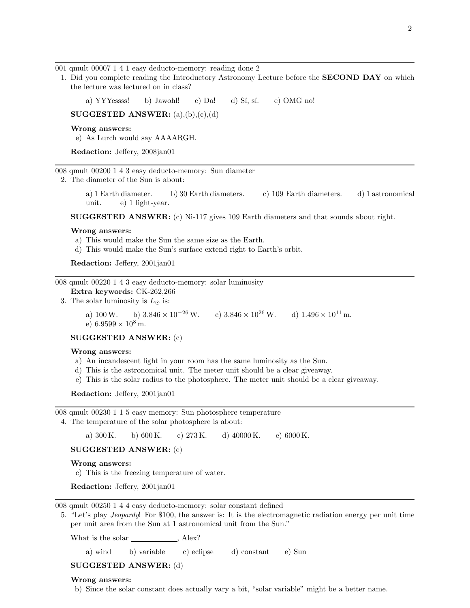001 qmult 00007 1 4 1 easy deducto-memory: reading done 2

1. Did you complete reading the Introductory Astronomy Lecture before the SECOND DAY on which the lecture was lectured on in class?

a) YYYessss! b) Jawohl! c) Da! d) Sí, sí. e) OMG no!

SUGGESTED ANSWER:  $(a),(b),(c),(d)$ 

Wrong answers:

e) As Lurch would say AAAARGH.

Redaction: Jeffery, 2008jan01

008 qmult 00200 1 4 3 easy deducto-memory: Sun diameter

2. The diameter of the Sun is about:

a) 1 Earth diameter. b) 30 Earth diameters. c) 109 Earth diameters. d) 1 astronomical unit. e) 1 light-year.

SUGGESTED ANSWER: (c) Ni-117 gives 109 Earth diameters and that sounds about right.

#### Wrong answers:

- a) This would make the Sun the same size as the Earth.
- d) This would make the Sun's surface extend right to Earth's orbit.

Redaction: Jeffery, 2001jan01

008 qmult 00220 1 4 3 easy deducto-memory: solar luminosity

Extra keywords: CK-262,266

3. The solar luminosity is  $L_{\odot}$  is:

a) 100 W. b)  $3.846 \times 10^{-26}$  W. c)  $3.846 \times 10^{26}$  W. d)  $1.496 \times 10^{11}$  m. e)  $6.9599 \times 10^8$  m.

#### SUGGESTED ANSWER: (c)

#### Wrong answers:

- a) An incandescent light in your room has the same luminosity as the Sun.
- d) This is the astronomical unit. The meter unit should be a clear giveaway.
- e) This is the solar radius to the photosphere. The meter unit should be a clear giveaway.

Redaction: Jeffery, 2001jan01

008 qmult 00230 1 1 5 easy memory: Sun photosphere temperature

4. The temperature of the solar photosphere is about:

a)  $300 \text{ K}$ . b)  $600 \text{ K}$ . c)  $273 \text{ K}$ . d)  $40000 \text{ K}$ . e)  $6000 \text{ K}$ .

SUGGESTED ANSWER: (e)

#### Wrong answers:

c) This is the freezing temperature of water.

Redaction: Jeffery, 2001jan01

008 qmult 00250 1 4 4 easy deducto-memory: solar constant defined

5. "Let's play Jeopardy! For \$100, the answer is: It is the electromagnetic radiation energy per unit time per unit area from the Sun at 1 astronomical unit from the Sun."

What is the solar , Alex?

a) wind b) variable c) eclipse d) constant e) Sun

# SUGGESTED ANSWER: (d)

#### Wrong answers:

b) Since the solar constant does actually vary a bit, "solar variable" might be a better name.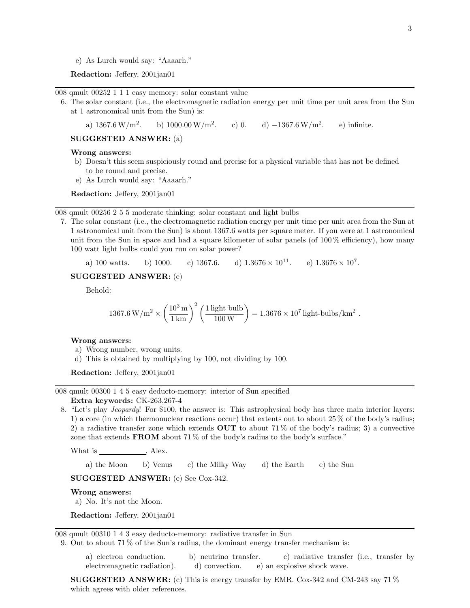e) As Lurch would say: "Aaaarh."

Redaction: Jeffery, 2001jan01

008 qmult 00252 1 1 1 easy memory: solar constant value

6. The solar constant (i.e., the electromagnetic radiation energy per unit time per unit area from the Sun at 1 astronomical unit from the Sun) is:

a)  $1367.6 \,\mathrm{W/m^2}$ . b)  $1000.00 \,\mathrm{W/m^2}$ . c) 0. d)  $-1367.6 \,\mathrm{W/m^2}$ . . e) infinite.

SUGGESTED ANSWER: (a)

# Wrong answers:

- b) Doesn't this seem suspiciously round and precise for a physical variable that has not be defined to be round and precise.
- e) As Lurch would say: "Aaaarh."

Redaction: Jeffery, 2001jan01

# 008 qmult 00256 2 5 5 moderate thinking: solar constant and light bulbs

7. The solar constant (i.e., the electromagnetic radiation energy per unit time per unit area from the Sun at 1 astronomical unit from the Sun) is about 1367.6 watts per square meter. If you were at 1 astronomical unit from the Sun in space and had a square kilometer of solar panels (of  $100\%$  efficiency), how many 100 watt light bulbs could you run on solar power?

a) 100 watts. b) 1000. c) 1367.6. d)  $1.3676 \times 10^{11}$ . e)  $1.3676 \times 10^7$ .

SUGGESTED ANSWER: (e)

Behold:

$$
1367.6 \, \mathrm{W/m^2} \times \left(\frac{10^3 \, \mathrm{m}}{1 \, \mathrm{km}}\right)^2 \left(\frac{1 \, \mathrm{light \, \, bulb}}{100 \, \mathrm{W}}\right) = 1.3676 \times 10^7 \, \mathrm{light \, \, bulbs/km^2} \; .
$$

## Wrong answers:

- a) Wrong number, wrong units.
- d) This is obtained by multiplying by 100, not dividing by 100.

Redaction: Jeffery, 2001jan01

008 qmult 00300 1 4 5 easy deducto-memory: interior of Sun specified

# Extra keywords: CK-263,267-4

8. "Let's play Jeopardy! For \$100, the answer is: This astrophysical body has three main interior layers: 1) a core (in which thermonuclear reactions occur) that extents out to about 25 % of the body's radius; 2) a radiative transfer zone which extends  $\text{OUT}$  to about 71% of the body's radius; 3) a convective zone that extends **FROM** about 71% of the body's radius to the body's surface."

What is , Alex.

a) the Moon b) Venus c) the Milky Way d) the Earth e) the Sun

SUGGESTED ANSWER: (e) See Cox-342.

#### Wrong answers:

a) No. It's not the Moon.

Redaction: Jeffery, 2001jan01

008 qmult 00310 1 4 3 easy deducto-memory: radiative transfer in Sun

9. Out to about 71 % of the Sun's radius, the dominant energy transfer mechanism is:

a) electron conduction. b) neutrino transfer. c) radiative transfer (i.e., transfer by electromagnetic radiation). d) convection. e) an explosive shock wave.

**SUGGESTED ANSWER:** (c) This is energy transfer by EMR. Cox-342 and CM-243 say 71  $\%$ which agrees with older references.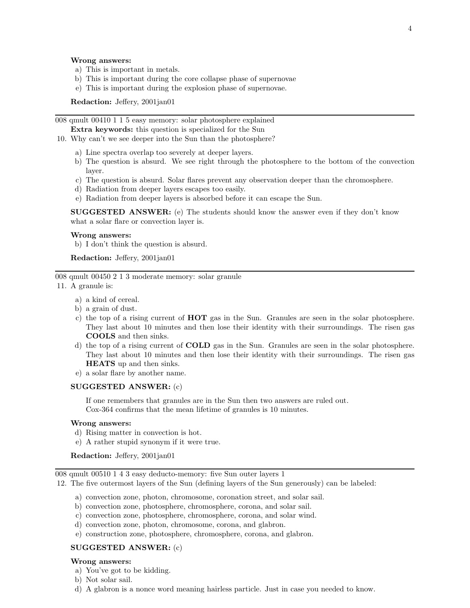#### Wrong answers:

- a) This is important in metals.
- b) This is important during the core collapse phase of supernovae
- e) This is important during the explosion phase of supernovae.

Redaction: Jeffery, 2001jan01

008 qmult 00410 1 1 5 easy memory: solar photosphere explained

Extra keywords: this question is specialized for the Sun

- 10. Why can't we see deeper into the Sun than the photosphere?
	- a) Line spectra overlap too severely at deeper layers.
	- b) The question is absurd. We see right through the photosphere to the bottom of the convection layer.
	- c) The question is absurd. Solar flares prevent any observation deeper than the chromosphere.
	- d) Radiation from deeper layers escapes too easily.
	- e) Radiation from deeper layers is absorbed before it can escape the Sun.

SUGGESTED ANSWER: (e) The students should know the answer even if they don't know what a solar flare or convection layer is.

# Wrong answers:

b) I don't think the question is absurd.

Redaction: Jeffery, 2001jan01

008 qmult 00450 2 1 3 moderate memory: solar granule

- 11. A granule is:
	- a) a kind of cereal.
	- b) a grain of dust.
	- c) the top of a rising current of HOT gas in the Sun. Granules are seen in the solar photosphere. They last about 10 minutes and then lose their identity with their surroundings. The risen gas COOLS and then sinks.
	- d) the top of a rising current of COLD gas in the Sun. Granules are seen in the solar photosphere. They last about 10 minutes and then lose their identity with their surroundings. The risen gas HEATS up and then sinks.
	- e) a solar flare by another name.

## SUGGESTED ANSWER: (c)

If one remembers that granules are in the Sun then two answers are ruled out. Cox-364 confirms that the mean lifetime of granules is 10 minutes.

# Wrong answers:

- d) Rising matter in convection is hot.
- e) A rather stupid synonym if it were true.

Redaction: Jeffery, 2001jan01

008 qmult 00510 1 4 3 easy deducto-memory: five Sun outer layers 1

12. The five outermost layers of the Sun (defining layers of the Sun generously) can be labeled:

- a) convection zone, photon, chromosome, coronation street, and solar sail.
- b) convection zone, photosphere, chromosphere, corona, and solar sail.
- c) convection zone, photosphere, chromosphere, corona, and solar wind.
- d) convection zone, photon, chromosome, corona, and glabron.
- e) construction zone, photosphere, chromosphere, corona, and glabron.

# SUGGESTED ANSWER: (c)

#### Wrong answers:

- a) You've got to be kidding.
- b) Not solar sail.
- d) A glabron is a nonce word meaning hairless particle. Just in case you needed to know.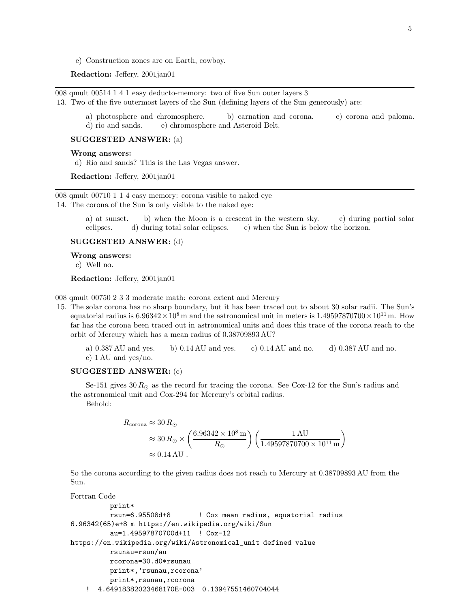e) Construction zones are on Earth, cowboy.

## Redaction: Jeffery, 2001jan01

008 qmult 00514 1 4 1 easy deducto-memory: two of five Sun outer layers 3

13. Two of the five outermost layers of the Sun (defining layers of the Sun generously) are:

a) photosphere and chromosphere. b) carnation and corona. c) corona and paloma. d) rio and sands. e) chromosphere and Asteroid Belt.

## SUGGESTED ANSWER: (a)

#### Wrong answers:

d) Rio and sands? This is the Las Vegas answer.

Redaction: Jeffery, 2001jan01

008 qmult 00710 1 1 4 easy memory: corona visible to naked eye

14. The corona of the Sun is only visible to the naked eye:

a) at sunset. b) when the Moon is a crescent in the western sky. c) during partial solar eclipses. d) during total solar eclipses. e) when the Sun is below the horizon.

SUGGESTED ANSWER: (d)

Wrong answers:

c) Well no.

Redaction: Jeffery, 2001jan01

008 qmult 00750 2 3 3 moderate math: corona extent and Mercury

15. The solar corona has no sharp boundary, but it has been traced out to about 30 solar radii. The Sun's equatorial radius is  $6.96342 \times 10^8$  m and the astronomical unit in meters is  $1.49597870700 \times 10^{11}$  m. How far has the corona been traced out in astronomical units and does this trace of the corona reach to the orbit of Mercury which has a mean radius of 0.38709893 AU?

a) 0.387 AU and yes. b) 0.14 AU and yes. c) 0.14 AU and no. d) 0.387 AU and no. e) 1 AU and yes/no.

# SUGGESTED ANSWER: (c)

Se-151 gives  $30 R_{\odot}$  as the record for tracing the corona. See Cox-12 for the Sun's radius and the astronomical unit and Cox-294 for Mercury's orbital radius.

Behold:

$$
R_{\text{corona}} \approx 30 R_{\odot}
$$
  
\n
$$
\approx 30 R_{\odot} \times \left(\frac{6.96342 \times 10^8 \text{ m}}{R_{\odot}}\right) \left(\frac{1 \text{ AU}}{1.49597870700 \times 10^{11} \text{ m}}\right)
$$
  
\n
$$
\approx 0.14 \text{ AU}.
$$

So the corona according to the given radius does not reach to Mercury at 0.38709893 AU from the Sun.

Fortran Code

```
print*
         rsun=6.95508d+8 ! Cox mean radius, equatorial radius
6.96342(65)e+8 m https://en.wikipedia.org/wiki/Sun
         au=1.49597870700d+11 ! Cox-12
https://en.wikipedia.org/wiki/Astronomical_unit defined value
         rsunau=rsun/au
         rcorona=30.d0*rsunau
         print*,'rsunau,rcorona'
         print*,rsunau,rcorona
   ! 4.64918382023468170E-003 0.13947551460704044
```